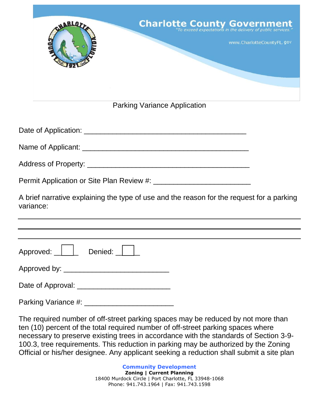| <b>Charlotte County Government</b><br>ABLO <sub>2</sub>                                                |
|--------------------------------------------------------------------------------------------------------|
| www.CharlotteCountyFL.gov                                                                              |
|                                                                                                        |
| <b>Parking Variance Application</b>                                                                    |
|                                                                                                        |
|                                                                                                        |
|                                                                                                        |
|                                                                                                        |
| A brief narrative explaining the type of use and the reason for the request for a parking<br>variance: |
|                                                                                                        |
| Approved: <u>   </u> Denied: _                                                                         |
| Approved by: ________________________________                                                          |
| Date of Approval: ___________________________                                                          |
| Parking Variance #: ____________________________                                                       |

The required number of off-street parking spaces may be reduced by not more than ten (10) percent of the total required number of off-street parking spaces where necessary to preserve existing trees in accordance with the standards of Section 3-9- 100.3, tree requirements. This reduction in parking may be authorized by the Zoning Official or his/her designee. Any applicant seeking a reduction shall submit a site plan

> **Community Development Zoning | Current Planning** 18400 Murdock Circle | Port Charlotte, FL 33948-1068 Phone: 941.743.1964 | Fax: 941.743.1598